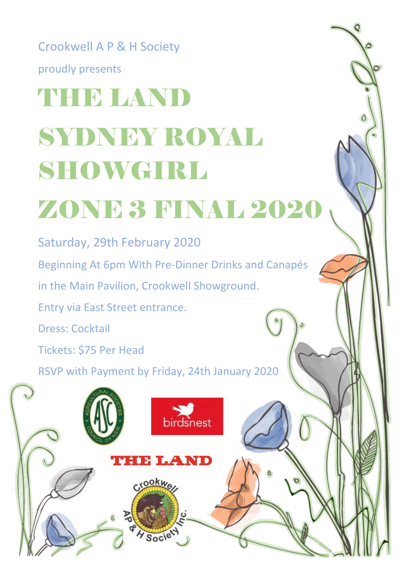## Crookwell A P & H Society proudly presents **THE LAND** SYDNEY ROYAL SHOWGIRL ZONE 3 FINAL 2020

Saturday, 29th February 2020 Beginning At 6pm With Pre-Dinner Drinks and Canapés in the Main Pavilion, Crookwell Showground. Entry via East Street entrance. Dress: Cocktail Tickets: \$75 Per Head

RSVP with Payment by Friday, 24th January 2020